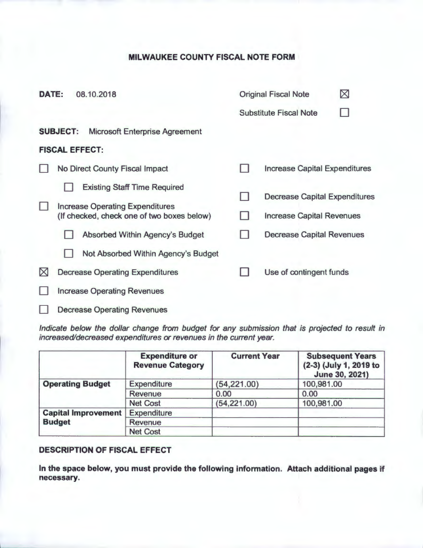## **MILWAUKEE COUNTY FISCAL NOTE FORM**

| <b>DATE:</b> |                                                                                      | 08.10.2018                             |  | <b>Original Fiscal Note</b>          |  |  |
|--------------|--------------------------------------------------------------------------------------|----------------------------------------|--|--------------------------------------|--|--|
|              |                                                                                      |                                        |  | <b>Substitute Fiscal Note</b>        |  |  |
|              | <b>SUBJECT:</b>                                                                      | <b>Microsoft Enterprise Agreement</b>  |  |                                      |  |  |
|              |                                                                                      | <b>FISCAL EFFECT:</b>                  |  |                                      |  |  |
|              |                                                                                      | <b>No Direct County Fiscal Impact</b>  |  | <b>Increase Capital Expenditures</b> |  |  |
|              |                                                                                      | <b>Existing Staff Time Required</b>    |  |                                      |  |  |
|              | <b>Increase Operating Expenditures</b><br>(If checked, check one of two boxes below) |                                        |  | <b>Decrease Capital Expenditures</b> |  |  |
|              |                                                                                      |                                        |  | <b>Increase Capital Revenues</b>     |  |  |
|              |                                                                                      | <b>Absorbed Within Agency's Budget</b> |  | <b>Decrease Capital Revenues</b>     |  |  |
|              |                                                                                      | Not Absorbed Within Agency's Budget    |  |                                      |  |  |
| $\boxtimes$  | <b>Decrease Operating Expenditures</b>                                               |                                        |  | Use of contingent funds              |  |  |
|              | <b>Increase Operating Revenues</b>                                                   |                                        |  |                                      |  |  |
|              | <b>Decrease Operating Revenues</b>                                                   |                                        |  |                                      |  |  |

Indicate below the dollar change from budget for any submission that is projected to result in increased/decreased expenditures or revenues in the current year.

|                            | <b>Expenditure or</b><br><b>Revenue Category</b> | <b>Current Year</b> | <b>Subsequent Years</b><br>(2-3) (July 1, 2019 to<br>June 30, 2021) |
|----------------------------|--------------------------------------------------|---------------------|---------------------------------------------------------------------|
| <b>Operating Budget</b>    | <b>Expenditure</b>                               | (54, 221.00)        | 100,981.00                                                          |
|                            | Revenue                                          | 0.00                | 0.00                                                                |
|                            | <b>Net Cost</b>                                  | (54, 221.00)        | 100,981.00                                                          |
| <b>Capital Improvement</b> | <b>Expenditure</b>                               |                     |                                                                     |
| <b>Budget</b>              | <b>Revenue</b>                                   |                     |                                                                     |
|                            | <b>Net Cost</b>                                  |                     |                                                                     |

## **DESCRIPTION OF FISCAL EFFECT**

**In the space below, you must provide the following information. Attach additional pages if necessary.**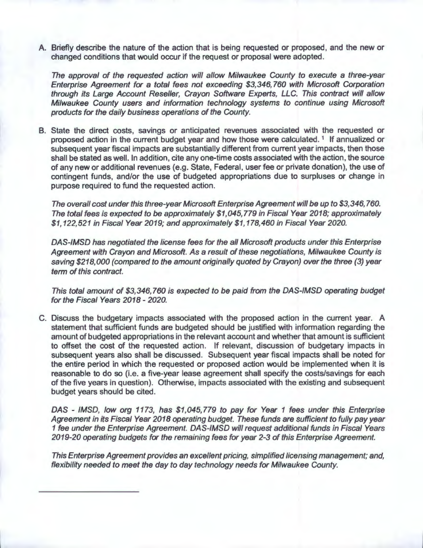A. Briefly describe the nature of the action that is being requested or proposed, and the new or changed conditions that would occur if the request or proposal were adopted.

The approval of the requested action will allow Milwaukee County to execute a three-year Enterprise Agreement for a total fees not exceeding \$3,346,760 with Microsoft Corporation through its Large Account Reseller, Crayon Software Experts, LLC. This contract will allow Milwaukee County users and information technology systems to continue using Microsoft products for the daily business operations of the County.

B. State the direct costs, savings or anticipated revenues associated with the requested or proposed action in the current budget year and how those were calculated.<sup>1</sup> If annualized or subsequent year fiscal impacts are substantially different from current year impacts, then those shall be stated as well. In addition, cite any one-time costs associated with the action, the source of any new or additional revenues (e.g. State, Federal, user fee or private donation), the use of contingent funds, and/or the use of budgeted appropriations due to surpluses or change in purpose required to fund the requested action.

The overall cost under this three-year Microsoft Enterprise Agreement will be up to \$3,346, 760. The total fees is expected to be approximately \$1,045,779 in Fiscal Year 2018; approximately \$1,122,521 in Fiscal Year 2019; and approximately \$1,178,460 in Fiscal Year 2020.

DAS-IMSD has negotiated the license fees for the all Microsoft products under this Enterprise Agreement with Crayon and Microsoft. As a result of these negotiations, Milwaukee County is saving \$218,000 (compared to the amount originally quoted by Crayon) over the three (3) year term of this contract.

This total amount of \$3,346,760 is expected to be paid from the DAS-IMSD operating budget for the Fiscal Years 2018 - 2020.

C. Discuss the budgetary impacts associated with the proposed action in the current year. A statement that sufficient funds are budgeted should be justified with information regarding the amount of budgeted appropriations in the relevant account and whether that amount is sufficient to offset the cost of the requested action. If relevant, discussion of budgetary impacts in subsequent years also shall be discussed. Subsequent year fiscal impacts shall be noted for the entire period in which the requested or proposed action would be implemented when it is reasonable to do so (i.e. a five-year lease agreement shall specify the costs/savings for each of the five years in question). Otherwise, impacts associated with the existing and subsequent budget years should be cited.

DAS - IMSD, low org 1173, has \$1,045,779 to pay for Year 1 fees under this Enterprise Agreement in its Fiscal Year 2018 operating budget. These funds are sufficient to fully pay year 1 fee under the Enterprise Agreement. DAS-IMSD will request additional funds in Fiscal Years 2019-20 operating budgets for the remaining fees for year 2-3 of this Enterprise Agreement.

This Enterprise Agreement provides an excellent pricing, simplified licensing management; and, flexibility needed to meet the day to day technology needs for Milwaukee County.